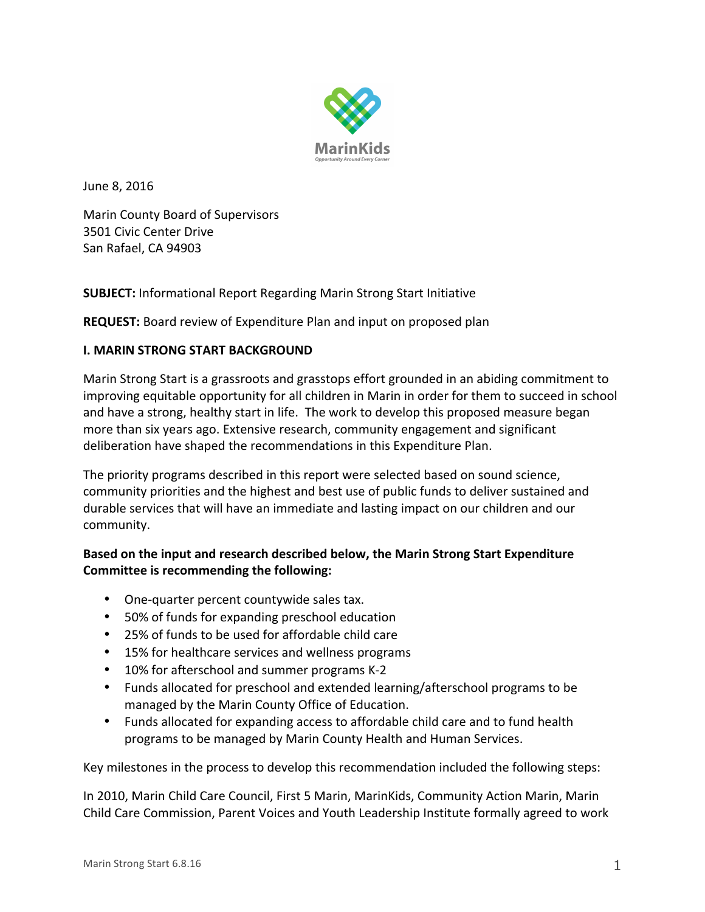

June 8, 2016

Marin County Board of Supervisors 3501 Civic Center Drive San Rafael, CA 94903

**SUBJECT:** Informational Report Regarding Marin Strong Start Initiative

**REQUEST:** Board review of Expenditure Plan and input on proposed plan

### **I. MARIN STRONG START BACKGROUND**

Marin Strong Start is a grassroots and grasstops effort grounded in an abiding commitment to improving equitable opportunity for all children in Marin in order for them to succeed in school and have a strong, healthy start in life. The work to develop this proposed measure began more than six years ago. Extensive research, community engagement and significant deliberation have shaped the recommendations in this Expenditure Plan.

The priority programs described in this report were selected based on sound science, community priorities and the highest and best use of public funds to deliver sustained and durable services that will have an immediate and lasting impact on our children and our community.

# Based on the input and research described below, the Marin Strong Start Expenditure **Committee is recommending the following:**

- One-quarter percent countywide sales tax.
- 50% of funds for expanding preschool education
- 25% of funds to be used for affordable child care
- 15% for healthcare services and wellness programs
- 10% for afterschool and summer programs K-2
- Funds allocated for preschool and extended learning/afterschool programs to be managed by the Marin County Office of Education.
- Funds allocated for expanding access to affordable child care and to fund health programs to be managed by Marin County Health and Human Services.

Key milestones in the process to develop this recommendation included the following steps:

In 2010, Marin Child Care Council, First 5 Marin, MarinKids, Community Action Marin, Marin Child Care Commission, Parent Voices and Youth Leadership Institute formally agreed to work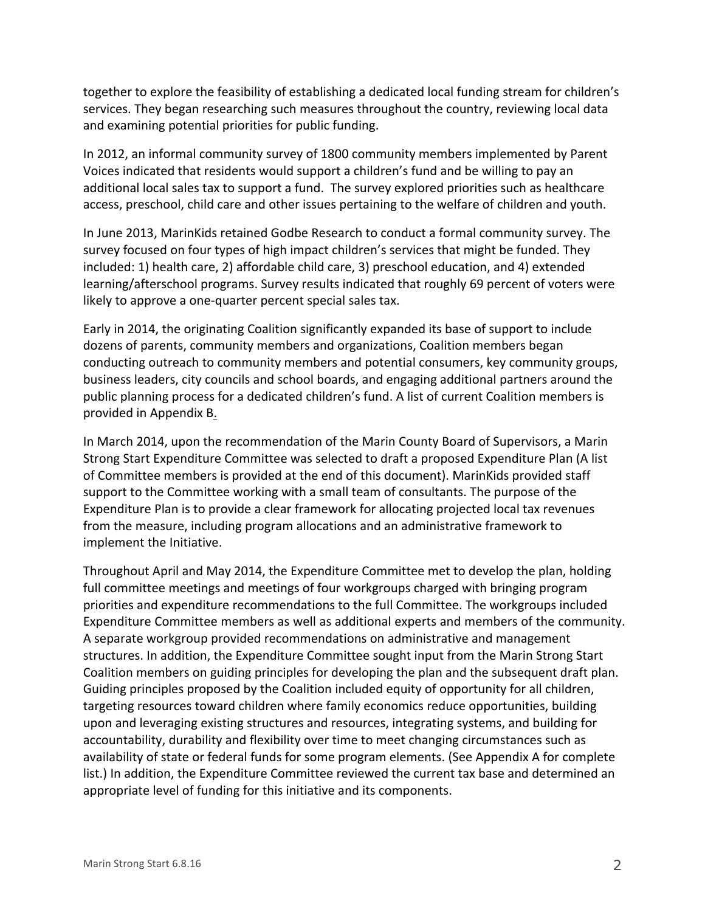together to explore the feasibility of establishing a dedicated local funding stream for children's services. They began researching such measures throughout the country, reviewing local data and examining potential priorities for public funding.

In 2012, an informal community survey of 1800 community members implemented by Parent Voices indicated that residents would support a children's fund and be willing to pay an additional local sales tax to support a fund. The survey explored priorities such as healthcare access, preschool, child care and other issues pertaining to the welfare of children and youth.

In June 2013, MarinKids retained Godbe Research to conduct a formal community survey. The survey focused on four types of high impact children's services that might be funded. They included: 1) health care, 2) affordable child care, 3) preschool education, and 4) extended learning/afterschool programs. Survey results indicated that roughly 69 percent of voters were likely to approve a one-quarter percent special sales tax.

Early in 2014, the originating Coalition significantly expanded its base of support to include dozens of parents, community members and organizations, Coalition members began conducting outreach to community members and potential consumers, key community groups, business leaders, city councils and school boards, and engaging additional partners around the public planning process for a dedicated children's fund. A list of current Coalition members is provided in Appendix B.

In March 2014, upon the recommendation of the Marin County Board of Supervisors, a Marin Strong Start Expenditure Committee was selected to draft a proposed Expenditure Plan (A list of Committee members is provided at the end of this document). MarinKids provided staff support to the Committee working with a small team of consultants. The purpose of the Expenditure Plan is to provide a clear framework for allocating projected local tax revenues from the measure, including program allocations and an administrative framework to implement the Initiative.

Throughout April and May 2014, the Expenditure Committee met to develop the plan, holding full committee meetings and meetings of four workgroups charged with bringing program priorities and expenditure recommendations to the full Committee. The workgroups included Expenditure Committee members as well as additional experts and members of the community. A separate workgroup provided recommendations on administrative and management structures. In addition, the Expenditure Committee sought input from the Marin Strong Start Coalition members on guiding principles for developing the plan and the subsequent draft plan. Guiding principles proposed by the Coalition included equity of opportunity for all children, targeting resources toward children where family economics reduce opportunities, building upon and leveraging existing structures and resources, integrating systems, and building for accountability, durability and flexibility over time to meet changing circumstances such as availability of state or federal funds for some program elements. (See Appendix A for complete list.) In addition, the Expenditure Committee reviewed the current tax base and determined an appropriate level of funding for this initiative and its components.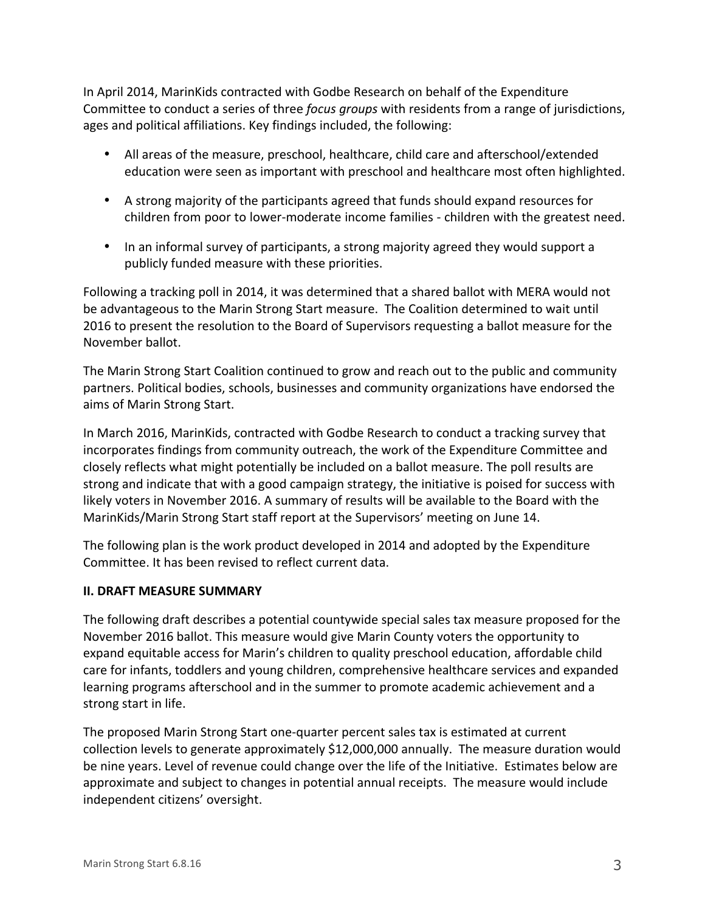In April 2014, MarinKids contracted with Godbe Research on behalf of the Expenditure Committee to conduct a series of three *focus groups* with residents from a range of jurisdictions, ages and political affiliations. Key findings included, the following:

- All areas of the measure, preschool, healthcare, child care and afterschool/extended education were seen as important with preschool and healthcare most often highlighted.
- A strong majority of the participants agreed that funds should expand resources for children from poor to lower-moderate income families - children with the greatest need.
- In an informal survey of participants, a strong majority agreed they would support a publicly funded measure with these priorities.

Following a tracking poll in 2014, it was determined that a shared ballot with MERA would not be advantageous to the Marin Strong Start measure. The Coalition determined to wait until 2016 to present the resolution to the Board of Supervisors requesting a ballot measure for the November ballot.

The Marin Strong Start Coalition continued to grow and reach out to the public and community partners. Political bodies, schools, businesses and community organizations have endorsed the aims of Marin Strong Start.

In March 2016, MarinKids, contracted with Godbe Research to conduct a tracking survey that incorporates findings from community outreach, the work of the Expenditure Committee and closely reflects what might potentially be included on a ballot measure. The poll results are strong and indicate that with a good campaign strategy, the initiative is poised for success with likely voters in November 2016. A summary of results will be available to the Board with the MarinKids/Marin Strong Start staff report at the Supervisors' meeting on June 14.

The following plan is the work product developed in 2014 and adopted by the Expenditure Committee. It has been revised to reflect current data.

# **II. DRAFT MEASURE SUMMARY**

The following draft describes a potential countywide special sales tax measure proposed for the November 2016 ballot. This measure would give Marin County voters the opportunity to expand equitable access for Marin's children to quality preschool education, affordable child care for infants, toddlers and young children, comprehensive healthcare services and expanded learning programs afterschool and in the summer to promote academic achievement and a strong start in life.

The proposed Marin Strong Start one-quarter percent sales tax is estimated at current collection levels to generate approximately \$12,000,000 annually. The measure duration would be nine years. Level of revenue could change over the life of the Initiative. Estimates below are approximate and subject to changes in potential annual receipts. The measure would include independent citizens' oversight.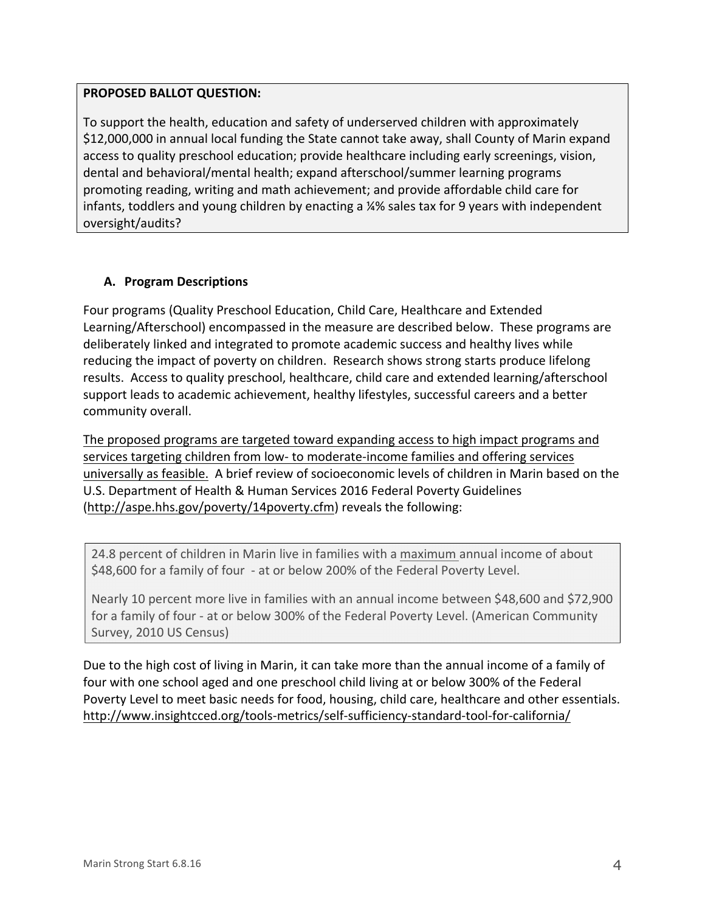### **PROPOSED BALLOT QUESTION:**

To support the health, education and safety of underserved children with approximately \$12,000,000 in annual local funding the State cannot take away, shall County of Marin expand access to quality preschool education; provide healthcare including early screenings, vision, dental and behavioral/mental health; expand afterschool/summer learning programs promoting reading, writing and math achievement; and provide affordable child care for infants, toddlers and young children by enacting a ¼% sales tax for 9 years with independent oversight/audits?

# **A. Program Descriptions**

Four programs (Quality Preschool Education, Child Care, Healthcare and Extended Learning/Afterschool) encompassed in the measure are described below. These programs are deliberately linked and integrated to promote academic success and healthy lives while reducing the impact of poverty on children. Research shows strong starts produce lifelong results. Access to quality preschool, healthcare, child care and extended learning/afterschool support leads to academic achievement, healthy lifestyles, successful careers and a better community overall.

The proposed programs are targeted toward expanding access to high impact programs and services targeting children from low- to moderate-income families and offering services universally as feasible. A brief review of socioeconomic levels of children in Marin based on the U.S. Department of Health & Human Services 2016 Federal Poverty Guidelines (http://aspe.hhs.gov/poverty/14poverty.cfm) reveals the following:

24.8 percent of children in Marin live in families with a maximum annual income of about \$48,600 for a family of four - at or below 200% of the Federal Poverty Level.

Nearly 10 percent more live in families with an annual income between \$48,600 and \$72,900 for a family of four - at or below 300% of the Federal Poverty Level. (American Community Survey, 2010 US Census)

Due to the high cost of living in Marin, it can take more than the annual income of a family of four with one school aged and one preschool child living at or below 300% of the Federal Poverty Level to meet basic needs for food, housing, child care, healthcare and other essentials. http://www.insightcced.org/tools-metrics/self-sufficiency-standard-tool-for-california/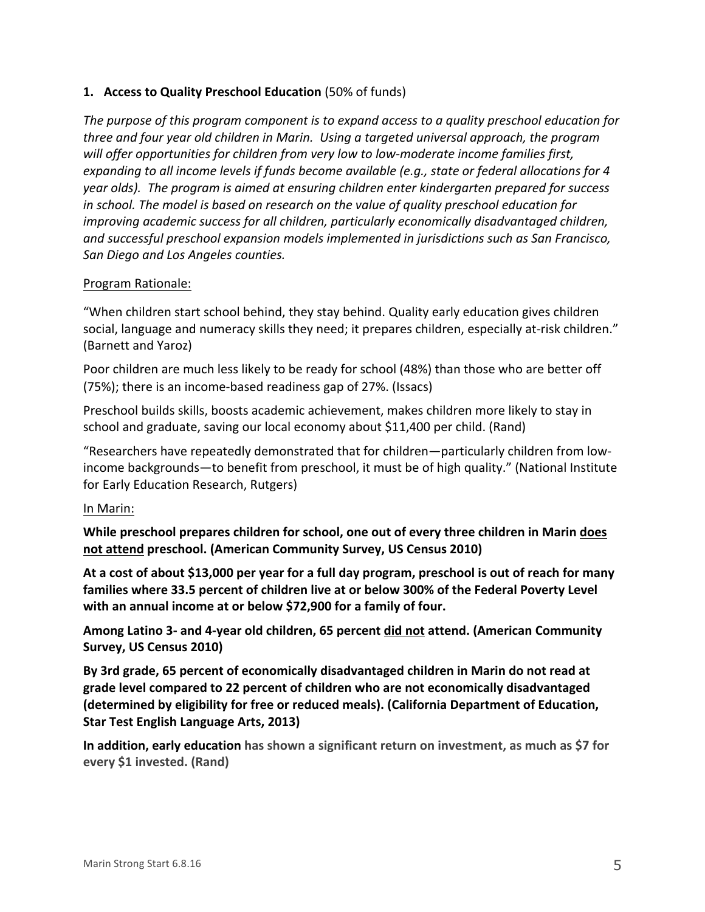### **1. Access to Quality Preschool Education** (50% of funds)

The purpose of this program component is to expand access to a quality preschool education for *three and four year old children in Marin.* Using a targeted universal approach, the program will offer opportunities for children from very low to low-moderate income families first, *expanding to all income levels if funds become available (e.g., state or federal allocations for 4 year* olds). The program is aimed at ensuring children enter kindergarten prepared for success *in* school. The model is based on research on the value of quality preschool education for *improving academic success for all children, particularly economically disadvantaged children,* and successful preschool expansion models implemented in jurisdictions such as San Francisco, *San Diego and Los Angeles counties.*

### Program Rationale:

"When children start school behind, they stay behind. Quality early education gives children social, language and numeracy skills they need; it prepares children, especially at-risk children." (Barnett and Yaroz)

Poor children are much less likely to be ready for school (48%) than those who are better off (75%); there is an income-based readiness gap of 27%. (Issacs)

Preschool builds skills, boosts academic achievement, makes children more likely to stay in school and graduate, saving our local economy about \$11,400 per child. (Rand)

"Researchers have repeatedly demonstrated that for children—particularly children from lowincome backgrounds—to benefit from preschool, it must be of high quality." (National Institute for Early Education Research, Rutgers)

#### In Marin:

**While preschool prepares children for school, one out of every three children in Marin does** not attend preschool. (American Community Survey, US Census 2010)

At a cost of about \$13,000 per year for a full day program, preschool is out of reach for many families where 33.5 percent of children live at or below 300% of the Federal Poverty Level with an annual income at or below \$72,900 for a family of four.

Among Latino 3- and 4-year old children, 65 percent did not attend. (American Community Survey, US Census 2010)

By 3rd grade, 65 percent of economically disadvantaged children in Marin do not read at grade level compared to 22 percent of children who are not economically disadvantaged **(determined by eligibility for free or reduced meals). (California Department of Education, Star Test English Language Arts, 2013)** 

**In addition, early education** has shown a significant return on investment, as much as \$7 for **every \$1 invested. (Rand)**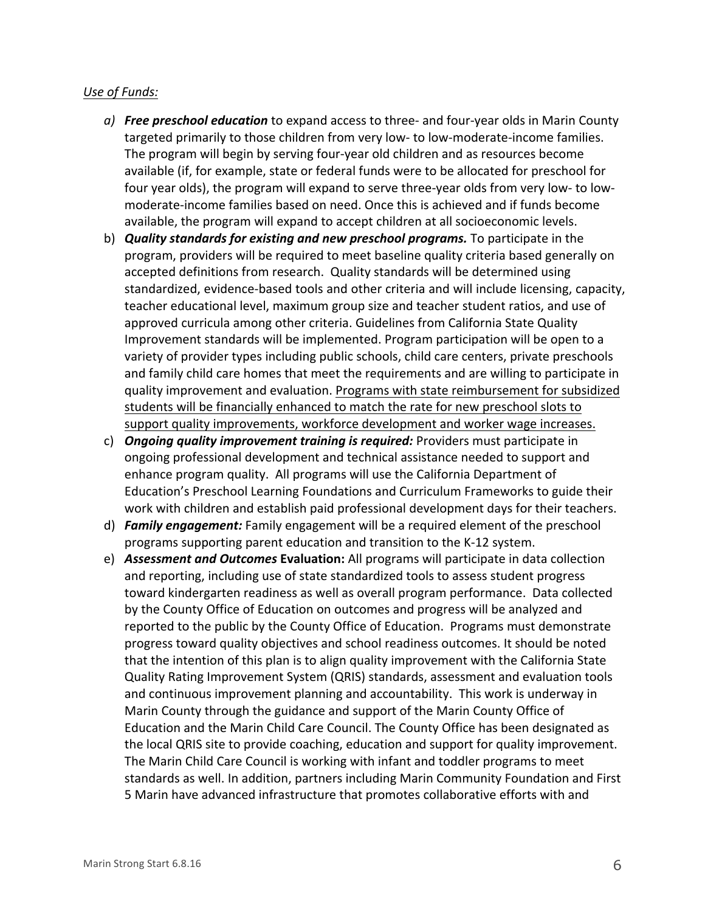### *Use of Funds:*

- *a*) **Free preschool education** to expand access to three- and four-year olds in Marin County targeted primarily to those children from very low- to low-moderate-income families. The program will begin by serving four-year old children and as resources become available (if, for example, state or federal funds were to be allocated for preschool for four year olds), the program will expand to serve three-year olds from very low- to lowmoderate-income families based on need. Once this is achieved and if funds become available, the program will expand to accept children at all socioeconomic levels.
- b) *Quality standards for existing and new preschool programs.* To participate in the program, providers will be required to meet baseline quality criteria based generally on accepted definitions from research. Quality standards will be determined using standardized, evidence-based tools and other criteria and will include licensing, capacity, teacher educational level, maximum group size and teacher student ratios, and use of approved curricula among other criteria. Guidelines from California State Quality Improvement standards will be implemented. Program participation will be open to a variety of provider types including public schools, child care centers, private preschools and family child care homes that meet the requirements and are willing to participate in quality improvement and evaluation. Programs with state reimbursement for subsidized students will be financially enhanced to match the rate for new preschool slots to support quality improvements, workforce development and worker wage increases.
- c) *Ongoing quality improvement training is required:* Providers must participate in ongoing professional development and technical assistance needed to support and enhance program quality. All programs will use the California Department of Education's Preschool Learning Foundations and Curriculum Frameworks to guide their work with children and establish paid professional development days for their teachers.
- d) **Family engagement:** Family engagement will be a required element of the preschool programs supporting parent education and transition to the K-12 system.
- e) **Assessment and Outcomes Evaluation:** All programs will participate in data collection and reporting, including use of state standardized tools to assess student progress toward kindergarten readiness as well as overall program performance. Data collected by the County Office of Education on outcomes and progress will be analyzed and reported to the public by the County Office of Education. Programs must demonstrate progress toward quality objectives and school readiness outcomes. It should be noted that the intention of this plan is to align quality improvement with the California State Quality Rating Improvement System (QRIS) standards, assessment and evaluation tools and continuous improvement planning and accountability. This work is underway in Marin County through the guidance and support of the Marin County Office of Education and the Marin Child Care Council. The County Office has been designated as the local QRIS site to provide coaching, education and support for quality improvement. The Marin Child Care Council is working with infant and toddler programs to meet standards as well. In addition, partners including Marin Community Foundation and First 5 Marin have advanced infrastructure that promotes collaborative efforts with and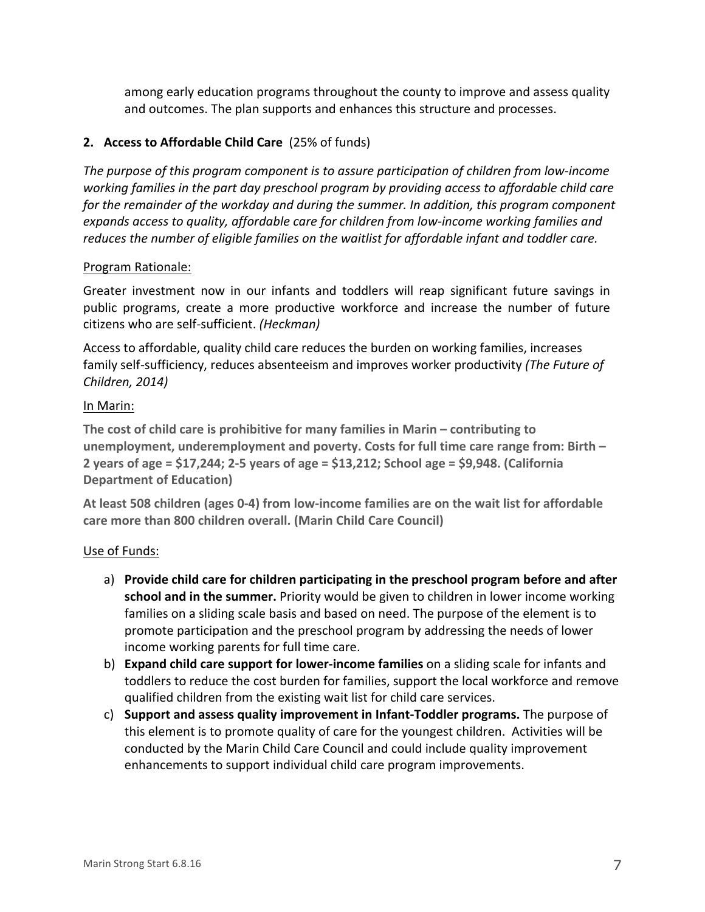among early education programs throughout the county to improve and assess quality and outcomes. The plan supports and enhances this structure and processes.

# **2.** Access to Affordable Child Care (25% of funds)

The purpose of this program component is to assure participation of children from low-income working families in the part day preschool program by providing access to affordable child care for the remainder of the workday and during the summer. In addition, this program component expands access to quality, affordable care for children from low-income working families and reduces the number of eligible families on the waitlist for affordable infant and toddler care.

### Program Rationale:

Greater investment now in our infants and toddlers will reap significant future savings in public programs, create a more productive workforce and increase the number of future citizens who are self-sufficient. *(Heckman)* 

Access to affordable, quality child care reduces the burden on working families, increases family self-sufficiency, reduces absenteeism and improves worker productivity *(The Future of Children, 2014)* 

### In Marin:

The cost of child care is prohibitive for many families in Marin – contributing to **unemployment, underemployment and poverty. Costs for full time care range from: Birth – 2** years of age = \$17,244; 2-5 years of age = \$13,212; School age = \$9,948. (California **Department of Education)** 

At least 508 children (ages 0-4) from low-income families are on the wait list for affordable **care more than 800 children overall. (Marin Child Care Council)** 

# Use of Funds:

- a) Provide child care for children participating in the preschool program before and after **school and in the summer.** Priority would be given to children in lower income working families on a sliding scale basis and based on need. The purpose of the element is to promote participation and the preschool program by addressing the needs of lower income working parents for full time care.
- b) **Expand child care support for lower-income families** on a sliding scale for infants and toddlers to reduce the cost burden for families, support the local workforce and remove qualified children from the existing wait list for child care services.
- c) Support and assess quality improvement in Infant-Toddler programs. The purpose of this element is to promote quality of care for the youngest children. Activities will be conducted by the Marin Child Care Council and could include quality improvement enhancements to support individual child care program improvements.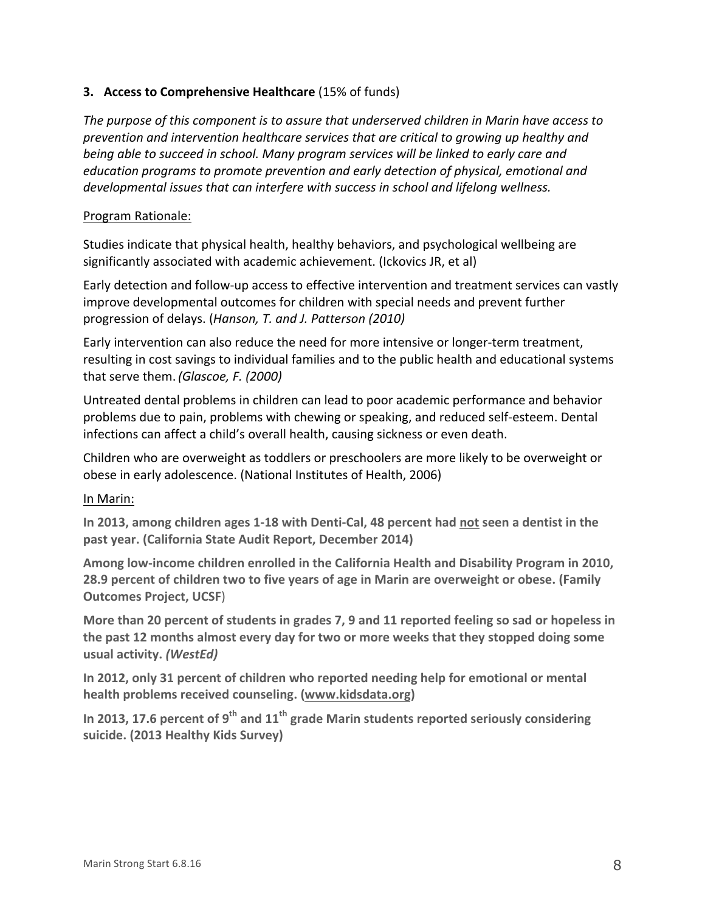# **3.** Access to Comprehensive Healthcare (15% of funds)

The purpose of this component is to assure that underserved children in Marin have access to *prevention and intervention healthcare services that are critical to growing up healthy and being* able to succeed in school. Many program services will be linked to early care and *education programs to promote prevention and early detection of physical, emotional and developmental issues that can interfere with success in school and lifelong wellness.* 

### Program Rationale:

Studies indicate that physical health, healthy behaviors, and psychological wellbeing are significantly associated with academic achievement. (Ickovics JR, et al)

Early detection and follow-up access to effective intervention and treatment services can vastly improve developmental outcomes for children with special needs and prevent further progression of delays. (*Hanson, T. and J. Patterson (2010)* 

Early intervention can also reduce the need for more intensive or longer-term treatment, resulting in cost savings to individual families and to the public health and educational systems that serve them. *(Glascoe, F. (2000)* 

Untreated dental problems in children can lead to poor academic performance and behavior problems due to pain, problems with chewing or speaking, and reduced self-esteem. Dental infections can affect a child's overall health, causing sickness or even death.

Children who are overweight as toddlers or preschoolers are more likely to be overweight or obese in early adolescence. (National Institutes of Health, 2006)

### In Marin:

**In 2013, among children ages 1-18 with Denti-Cal, 48 percent had not seen a dentist in the** past year. (California State Audit Report, December 2014)

Among low-income children enrolled in the California Health and Disability Program in 2010, **28.9** percent of children two to five years of age in Marin are overweight or obese. (Family **Outcomes Project, UCSF)** 

More than 20 percent of students in grades 7, 9 and 11 reported feeling so sad or hopeless in the past 12 months almost every day for two or more weeks that they stopped doing some **usual activity.** *(WestEd)*

In 2012, only 31 percent of children who reported needing help for emotional or mental health problems received counseling. (www.kidsdata.org)

In 2013, 17.6 percent of 9<sup>th</sup> and 11<sup>th</sup> grade Marin students reported seriously considering **suicide. (2013 Healthy Kids Survey)**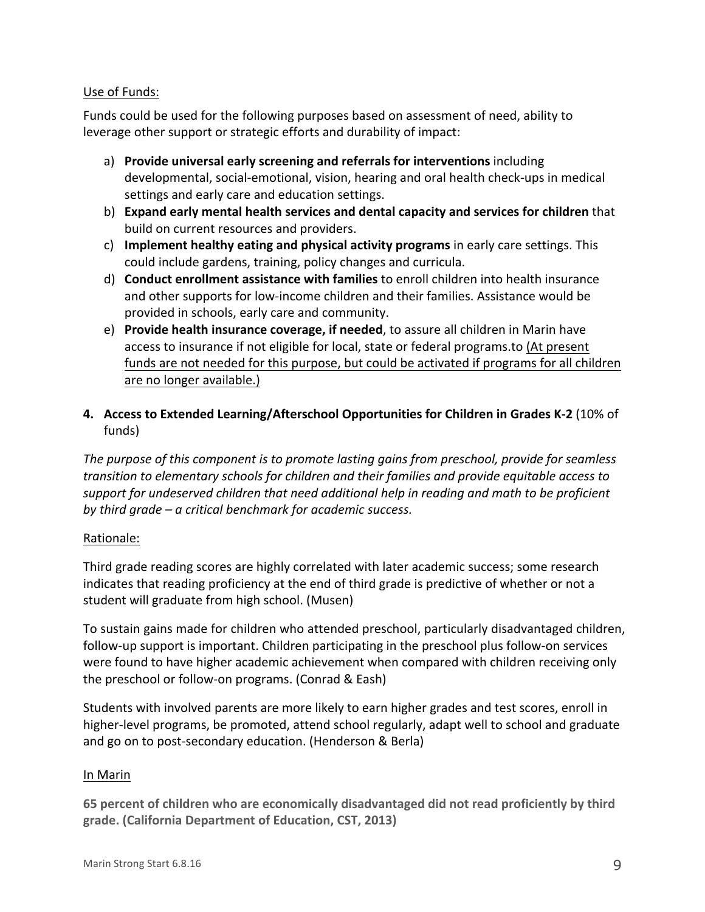### Use of Funds:

Funds could be used for the following purposes based on assessment of need, ability to leverage other support or strategic efforts and durability of impact:

- a) **Provide universal early screening and referrals for interventions** including developmental, social-emotional, vision, hearing and oral health check-ups in medical settings and early care and education settings.
- b) **Expand early mental health services and dental capacity and services for children** that build on current resources and providers.
- c) **Implement healthy eating and physical activity programs** in early care settings. This could include gardens, training, policy changes and curricula.
- d) **Conduct enrollment assistance with families** to enroll children into health insurance and other supports for low-income children and their families. Assistance would be provided in schools, early care and community.
- e) **Provide health insurance coverage, if needed**, to assure all children in Marin have access to insurance if not eligible for local, state or federal programs.to (At present funds are not needed for this purpose, but could be activated if programs for all children are no longer available.)

# 4. Access to Extended Learning/Afterschool Opportunities for Children in Grades K-2 (10% of funds)

The purpose of this component is to promote lasting gains from preschool, provide for seamless *transition to elementary schools for children and their families and provide equitable access to* support for undeserved children that need additional help in reading and math to be proficient *by third grade – a critical benchmark for academic success.* 

# Rationale:

Third grade reading scores are highly correlated with later academic success; some research indicates that reading proficiency at the end of third grade is predictive of whether or not a student will graduate from high school. (Musen)

To sustain gains made for children who attended preschool, particularly disadvantaged children, follow-up support is important. Children participating in the preschool plus follow-on services were found to have higher academic achievement when compared with children receiving only the preschool or follow-on programs. (Conrad & Eash)

Students with involved parents are more likely to earn higher grades and test scores, enroll in higher-level programs, be promoted, attend school regularly, adapt well to school and graduate and go on to post-secondary education. (Henderson & Berla)

### In Marin

65 percent of children who are economically disadvantaged did not read proficiently by third grade. (California Department of Education, CST, 2013)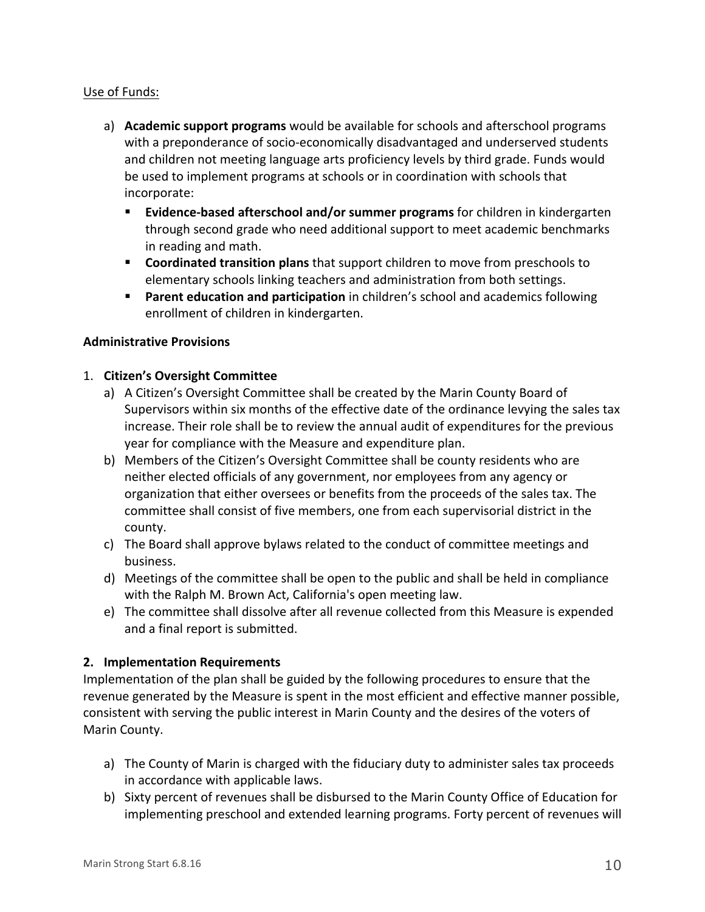### Use of Funds:

- a) Academic support programs would be available for schools and afterschool programs with a preponderance of socio-economically disadvantaged and underserved students and children not meeting language arts proficiency levels by third grade. Funds would be used to implement programs at schools or in coordination with schools that incorporate:
	- **Evidence-based afterschool and/or summer programs** for children in kindergarten through second grade who need additional support to meet academic benchmarks in reading and math.
	- **Example 1** Coordinated transition plans that support children to move from preschools to elementary schools linking teachers and administration from both settings.
	- **Parent education and participation** in children's school and academics following enrollment of children in kindergarten.

### **Administrative Provisions**

### 1. **Citizen's Oversight Committee**

- a) A Citizen's Oversight Committee shall be created by the Marin County Board of Supervisors within six months of the effective date of the ordinance levying the sales tax increase. Their role shall be to review the annual audit of expenditures for the previous year for compliance with the Measure and expenditure plan.
- b) Members of the Citizen's Oversight Committee shall be county residents who are neither elected officials of any government, nor employees from any agency or organization that either oversees or benefits from the proceeds of the sales tax. The committee shall consist of five members, one from each supervisorial district in the county.
- c) The Board shall approve bylaws related to the conduct of committee meetings and business.
- d) Meetings of the committee shall be open to the public and shall be held in compliance with the Ralph M. Brown Act, California's open meeting law.
- e) The committee shall dissolve after all revenue collected from this Measure is expended and a final report is submitted.

# **2. Implementation Requirements**

Implementation of the plan shall be guided by the following procedures to ensure that the revenue generated by the Measure is spent in the most efficient and effective manner possible, consistent with serving the public interest in Marin County and the desires of the voters of Marin County.

- a) The County of Marin is charged with the fiduciary duty to administer sales tax proceeds in accordance with applicable laws.
- b) Sixty percent of revenues shall be disbursed to the Marin County Office of Education for implementing preschool and extended learning programs. Forty percent of revenues will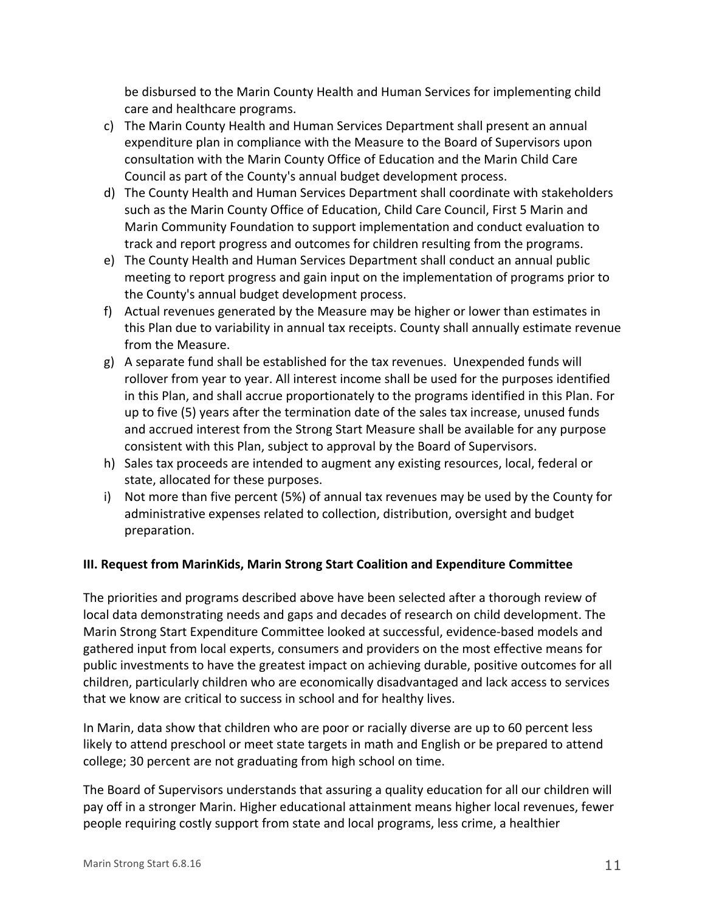be disbursed to the Marin County Health and Human Services for implementing child care and healthcare programs.

- c) The Marin County Health and Human Services Department shall present an annual expenditure plan in compliance with the Measure to the Board of Supervisors upon consultation with the Marin County Office of Education and the Marin Child Care Council as part of the County's annual budget development process.
- d) The County Health and Human Services Department shall coordinate with stakeholders such as the Marin County Office of Education, Child Care Council, First 5 Marin and Marin Community Foundation to support implementation and conduct evaluation to track and report progress and outcomes for children resulting from the programs.
- e) The County Health and Human Services Department shall conduct an annual public meeting to report progress and gain input on the implementation of programs prior to the County's annual budget development process.
- f) Actual revenues generated by the Measure may be higher or lower than estimates in this Plan due to variability in annual tax receipts. County shall annually estimate revenue from the Measure.
- $g$ ) A separate fund shall be established for the tax revenues. Unexpended funds will rollover from year to year. All interest income shall be used for the purposes identified in this Plan, and shall accrue proportionately to the programs identified in this Plan. For up to five (5) years after the termination date of the sales tax increase, unused funds and accrued interest from the Strong Start Measure shall be available for any purpose consistent with this Plan, subject to approval by the Board of Supervisors.
- h) Sales tax proceeds are intended to augment any existing resources, local, federal or state, allocated for these purposes.
- i) Not more than five percent (5%) of annual tax revenues may be used by the County for administrative expenses related to collection, distribution, oversight and budget preparation.

# **III. Request from MarinKids, Marin Strong Start Coalition and Expenditure Committee**

The priorities and programs described above have been selected after a thorough review of local data demonstrating needs and gaps and decades of research on child development. The Marin Strong Start Expenditure Committee looked at successful, evidence-based models and gathered input from local experts, consumers and providers on the most effective means for public investments to have the greatest impact on achieving durable, positive outcomes for all children, particularly children who are economically disadvantaged and lack access to services that we know are critical to success in school and for healthy lives.

In Marin, data show that children who are poor or racially diverse are up to 60 percent less likely to attend preschool or meet state targets in math and English or be prepared to attend college; 30 percent are not graduating from high school on time.

The Board of Supervisors understands that assuring a quality education for all our children will pay off in a stronger Marin. Higher educational attainment means higher local revenues, fewer people requiring costly support from state and local programs, less crime, a healthier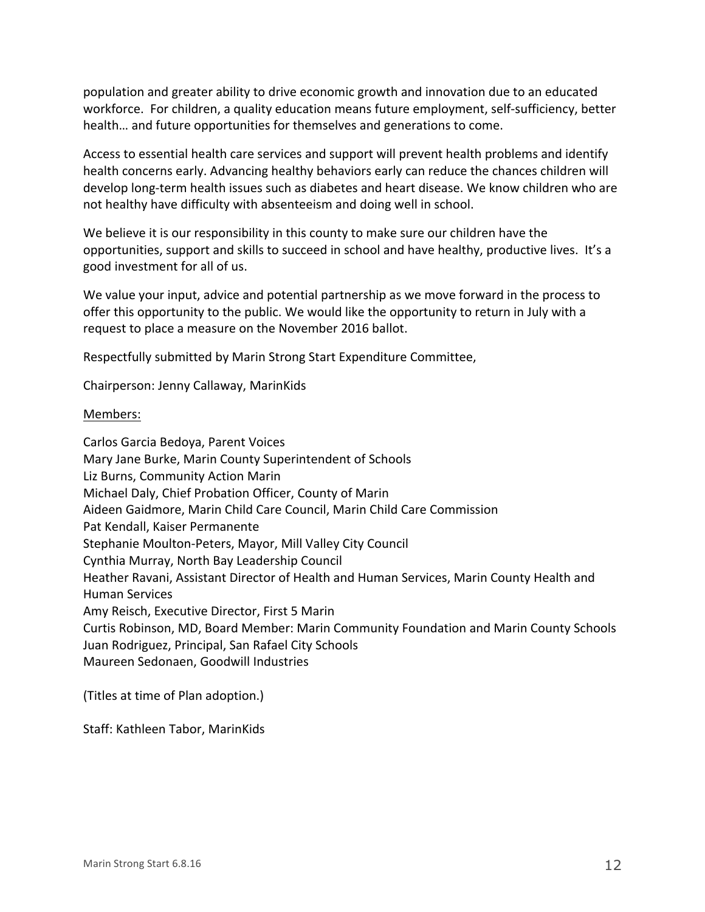population and greater ability to drive economic growth and innovation due to an educated workforce. For children, a quality education means future employment, self-sufficiency, better health... and future opportunities for themselves and generations to come.

Access to essential health care services and support will prevent health problems and identify health concerns early. Advancing healthy behaviors early can reduce the chances children will develop long-term health issues such as diabetes and heart disease. We know children who are not healthy have difficulty with absenteeism and doing well in school.

We believe it is our responsibility in this county to make sure our children have the opportunities, support and skills to succeed in school and have healthy, productive lives. It's a good investment for all of us.

We value your input, advice and potential partnership as we move forward in the process to offer this opportunity to the public. We would like the opportunity to return in July with a request to place a measure on the November 2016 ballot.

Respectfully submitted by Marin Strong Start Expenditure Committee,

Chairperson: Jenny Callaway, MarinKids

#### Members:

Carlos Garcia Bedoya, Parent Voices Mary Jane Burke, Marin County Superintendent of Schools Liz Burns, Community Action Marin Michael Daly, Chief Probation Officer, County of Marin Aideen Gaidmore, Marin Child Care Council, Marin Child Care Commission Pat Kendall, Kaiser Permanente Stephanie Moulton-Peters, Mayor, Mill Valley City Council Cynthia Murray, North Bay Leadership Council Heather Ravani, Assistant Director of Health and Human Services, Marin County Health and Human Services Amy Reisch, Executive Director, First 5 Marin Curtis Robinson, MD, Board Member: Marin Community Foundation and Marin County Schools Juan Rodriguez, Principal, San Rafael City Schools Maureen Sedonaen, Goodwill Industries

(Titles at time of Plan adoption.)

Staff: Kathleen Tabor, MarinKids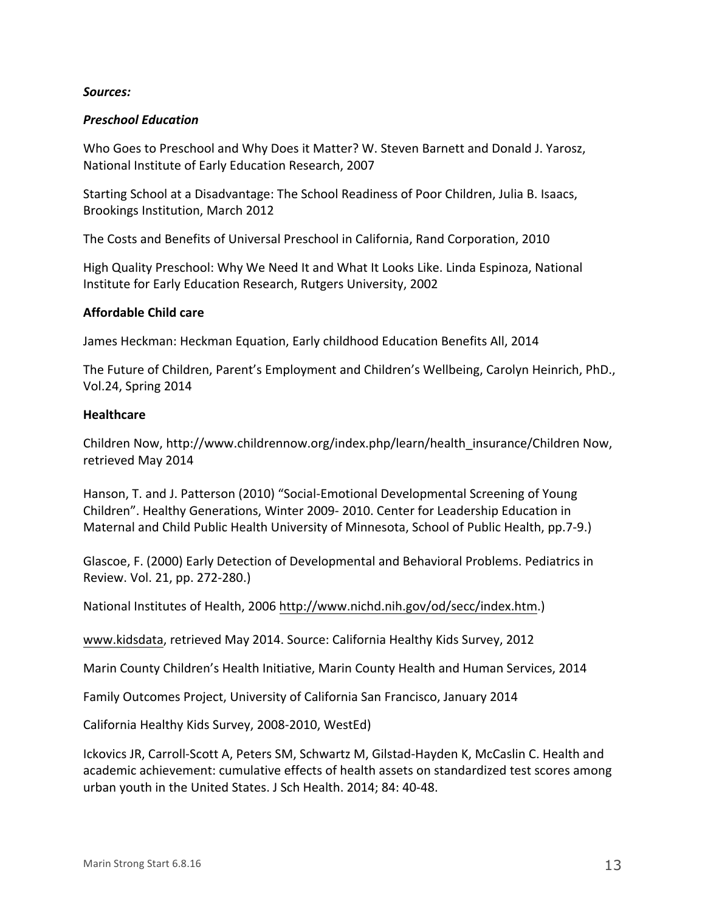#### *Sources:*

#### *Preschool Education*

Who Goes to Preschool and Why Does it Matter? W. Steven Barnett and Donald J. Yarosz, National Institute of Early Education Research, 2007

Starting School at a Disadvantage: The School Readiness of Poor Children, Julia B. Isaacs, Brookings Institution, March 2012

The Costs and Benefits of Universal Preschool in California, Rand Corporation, 2010

High Quality Preschool: Why We Need It and What It Looks Like. Linda Espinoza, National Institute for Early Education Research, Rutgers University, 2002

#### **Affordable Child care**

James Heckman: Heckman Equation, Early childhood Education Benefits All, 2014

The Future of Children, Parent's Employment and Children's Wellbeing, Carolyn Heinrich, PhD., Vol.24, Spring 2014

#### **Healthcare**

Children Now, http://www.childrennow.org/index.php/learn/health\_insurance/Children Now, retrieved May 2014

Hanson, T. and J. Patterson (2010) "Social-Emotional Developmental Screening of Young Children". Healthy Generations, Winter 2009- 2010. Center for Leadership Education in Maternal and Child Public Health University of Minnesota, School of Public Health, pp.7-9.)

Glascoe, F. (2000) Early Detection of Developmental and Behavioral Problems. Pediatrics in Review. Vol. 21, pp. 272-280.)

National Institutes of Health, 2006 http://www.nichd.nih.gov/od/secc/index.htm.)

www.kidsdata, retrieved May 2014. Source: California Healthy Kids Survey, 2012

Marin County Children's Health Initiative, Marin County Health and Human Services, 2014

Family Outcomes Project, University of California San Francisco, January 2014

California Healthy Kids Survey, 2008-2010, WestEd)

Ickovics JR, Carroll-Scott A, Peters SM, Schwartz M, Gilstad-Hayden K, McCaslin C. Health and academic achievement: cumulative effects of health assets on standardized test scores among urban youth in the United States. J Sch Health. 2014; 84: 40-48.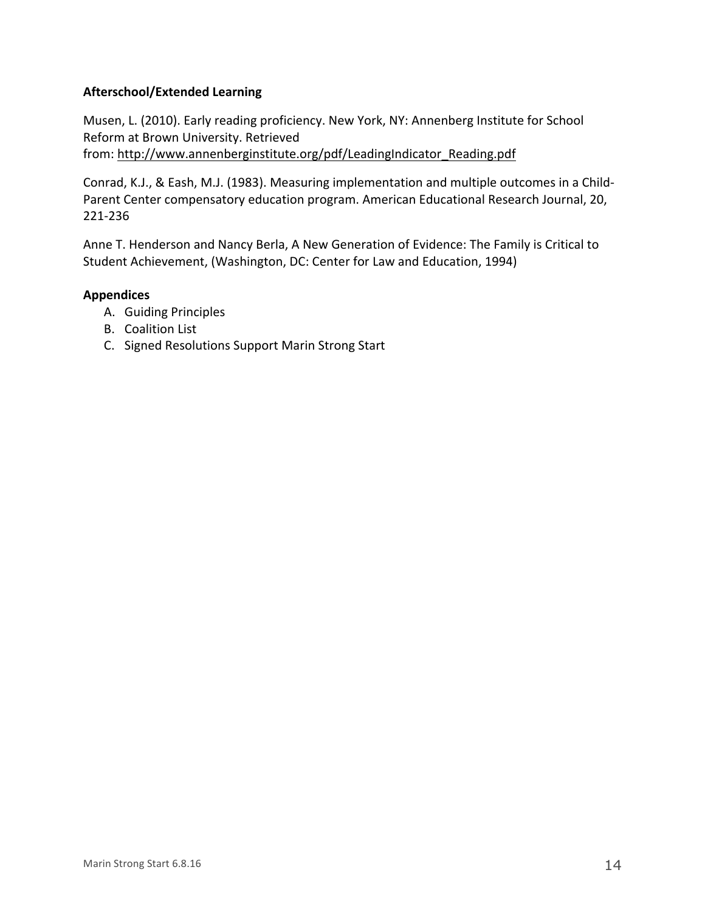### **Afterschool/Extended Learning**

Musen, L. (2010). Early reading proficiency. New York, NY: Annenberg Institute for School Reform at Brown University. Retrieved from: http://www.annenberginstitute.org/pdf/LeadingIndicator\_Reading.pdf

Conrad, K.J., & Eash, M.J. (1983). Measuring implementation and multiple outcomes in a Child-Parent Center compensatory education program. American Educational Research Journal, 20, 221-236

Anne T. Henderson and Nancy Berla, A New Generation of Evidence: The Family is Critical to Student Achievement, (Washington, DC: Center for Law and Education, 1994)

### **Appendices**

- A. Guiding Principles
- B. Coalition List
- C. Signed Resolutions Support Marin Strong Start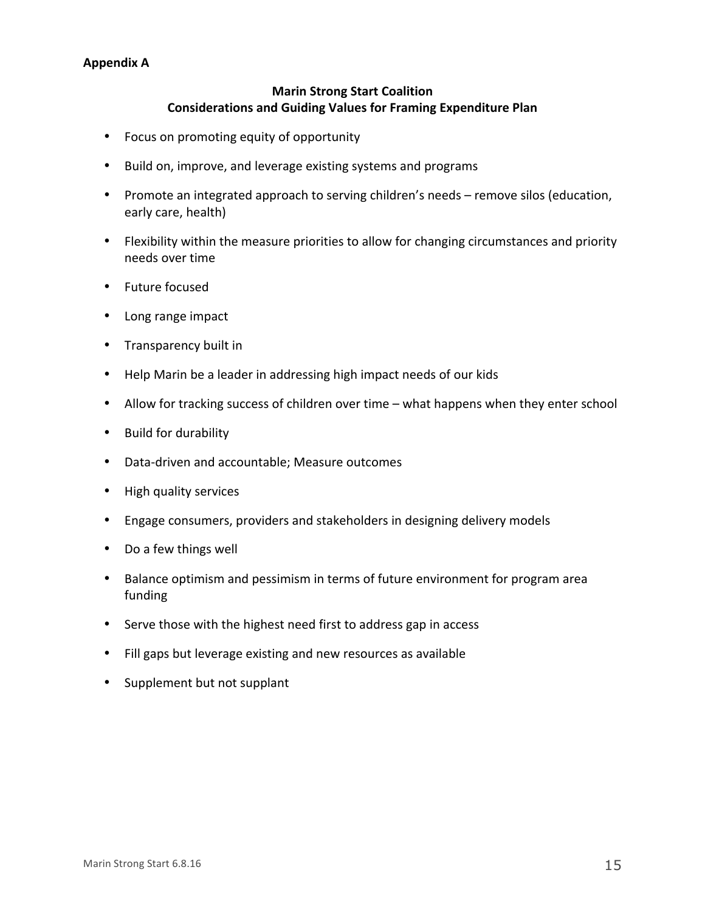### **Appendix A**

### **Marin Strong Start Coalition Considerations and Guiding Values for Framing Expenditure Plan**

- Focus on promoting equity of opportunity
- Build on, improve, and leverage existing systems and programs
- Promote an integrated approach to serving children's needs remove silos (education, early care, health)
- Flexibility within the measure priorities to allow for changing circumstances and priority needs over time
- Future focused
- Long range impact
- Transparency built in
- Help Marin be a leader in addressing high impact needs of our kids
- Allow for tracking success of children over time what happens when they enter school
- Build for durability
- Data-driven and accountable; Measure outcomes
- High quality services
- Engage consumers, providers and stakeholders in designing delivery models
- Do a few things well
- Balance optimism and pessimism in terms of future environment for program area funding
- Serve those with the highest need first to address gap in access
- Fill gaps but leverage existing and new resources as available
- Supplement but not supplant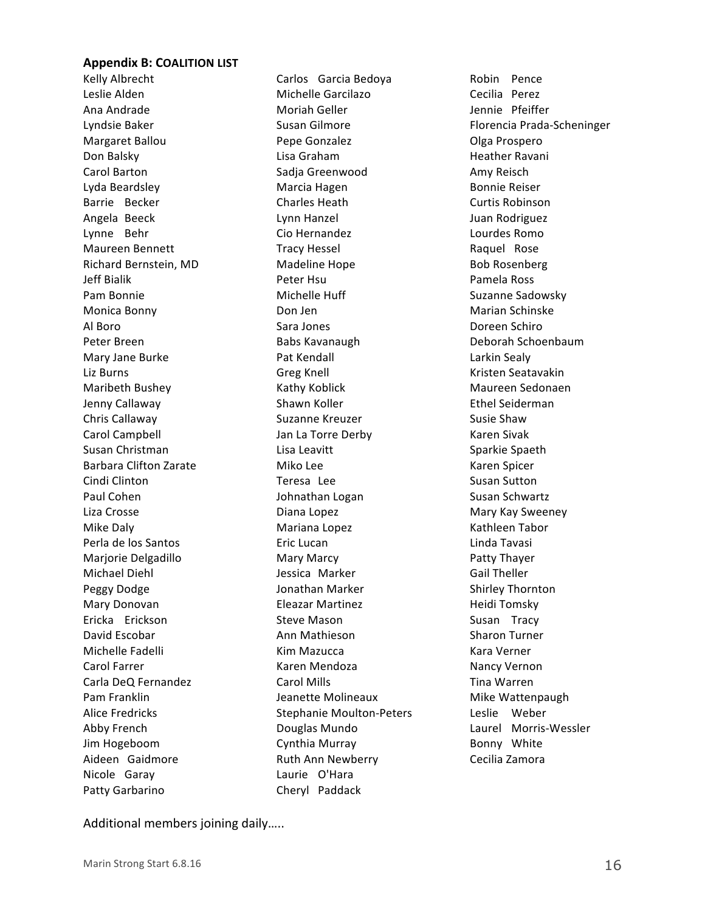#### **Appendix B: COALITION LIST**

Kelly Albrecht Leslie Alden Ana Andrade Lyndsie Baker Margaret Ballou Don Balsky Carol Barton Lyda Beardsley Barrie Becker Angela Beeck Lynne Behr Maureen Bennett Richard Bernstein, MD Jeff Bialik Pam Bonnie Monica Bonny Al Boro Peter Breen Mary Jane Burke Liz Burns Maribeth Bushey Jenny Callaway Chris Callaway Carol Campbell Susan Christman Barbara Clifton Zarate Cindi Clinton Paul Cohen Liza Crosse Mike Daly Perla de los Santos Marjorie Delgadillo Michael Diehl Peggy Dodge Mary Donovan Ericka Erickson David Escobar Michelle Fadelli Carol Farrer Carla DeQ Fernandez Pam Franklin Alice Fredricks Abby French Jim Hogeboom Aideen Gaidmore Nicole Garay Patty Garbarino

Carlos Garcia Bedoya Michelle Garcilazo Moriah Geller Susan Gilmore Pepe Gonzalez Lisa Graham Sadja Greenwood Marcia Hagen Charles Heath Lynn Hanzel Cio Hernandez Tracy Hessel Madeline Hope Peter Hsu Michelle Huff Don Jen Sara Jones Babs Kavanaugh Pat Kendall Greg Knell Kathy Koblick Shawn Koller Suzanne Kreuzer Jan La Torre Derby Lisa Leavitt Miko Lee Teresa Lee Johnathan Logan Diana Lopez Mariana Lopez Eric Lucan Mary Marcy Jessica Marker Jonathan Marker Eleazar Martinez Steve Mason Ann Mathieson Kim Mazucca Karen Mendoza Carol Mills Jeanette Molineaux Stephanie Moulton-Peters Douglas Mundo Cynthia Murray Ruth Ann Newberry Laurie O'Hara Cheryl Paddack

Robin Pence Cecilia Perez Jennie Pfeiffer Florencia Prada-Scheninger Olga Prospero Heather Ravani Amy Reisch Bonnie Reiser Curtis Robinson Juan Rodriguez Lourdes Romo Raquel Rose Bob Rosenberg Pamela Ross Suzanne Sadowsky Marian Schinske Doreen Schiro Deborah Schoenbaum Larkin Sealy Kristen Seatavakin Maureen Sedonaen Ethel Seiderman Susie Shaw Karen Sivak Sparkie Spaeth Karen Spicer Susan Sutton Susan Schwartz Mary Kay Sweeney Kathleen Tabor Linda Tavasi Patty Thayer Gail Theller Shirley Thornton Heidi Tomsky Susan Tracy Sharon Turner Kara Verner Nancy Vernon Tina Warren Mike Wattenpaugh Leslie Weber Laurel Morris-Wessler Bonny White Cecilia Zamora

Additional members joining daily.....